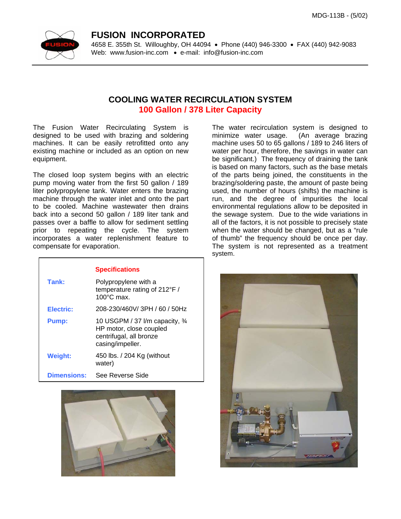

## **FUSION INCORPORATED**

4658 E. 355th St. Willoughby, OH 44094 • Phone (440) 946-3300 • FAX (440) 942-9083 Web: www.fusion-inc.com • e-mail: info@fusion-inc.com

## **COOLING WATER RECIRCULATION SYSTEM 100 Gallon / 378 Liter Capacity**

The Fusion Water Recirculating System is designed to be used with brazing and soldering machines. It can be easily retrofitted onto any existing machine or included as an option on new equipment.

The closed loop system begins with an electric pump moving water from the first 50 gallon / 189 liter polypropylene tank. Water enters the brazing machine through the water inlet and onto the part to be cooled. Machine wastewater then drains back into a second 50 gallon / 189 liter tank and passes over a baffle to allow for sediment settling prior to repeating the cycle. The system incorporates a water replenishment feature to compensate for evaporation.

## **Specifications**

| Tank:              | Polypropylene with a<br>temperature rating of 212°F /<br>$100^{\circ}$ C max.                             |
|--------------------|-----------------------------------------------------------------------------------------------------------|
| Electric:          | 208-230/460V/3PH / 60 / 50Hz                                                                              |
| Pump:              | 10 USGPM / 37 I/m capacity, 3/4<br>HP motor, close coupled<br>centrifugal, all bronze<br>casing/impeller. |
| <b>Weight:</b>     | 450 lbs. / 204 Kg (without<br>water)                                                                      |
| <b>Dimensions:</b> | See Reverse Side                                                                                          |



The water recirculation system is designed to minimize water usage. (An average brazing machine uses 50 to 65 gallons / 189 to 246 liters of water per hour, therefore, the savings in water can be significant.) The frequency of draining the tank is based on many factors, such as the base metals of the parts being joined, the constituents in the brazing/soldering paste, the amount of paste being used, the number of hours (shifts) the machine is run, and the degree of impurities the local environmental regulations allow to be deposited in the sewage system. Due to the wide variations in all of the factors, it is not possible to precisely state when the water should be changed, but as a "rule of thumb" the frequency should be once per day. The system is not represented as a treatment system.